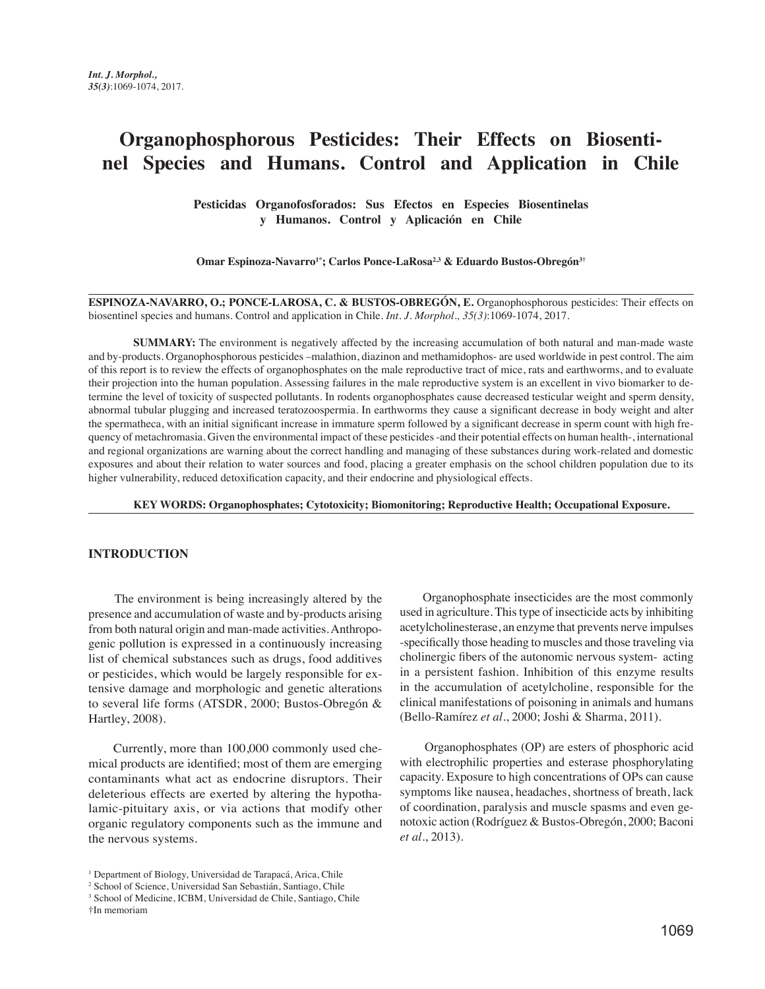# **Organophosphorous Pesticides: Their Effects on Biosentinel Species and Humans. Control and Application in Chile**

**Pesticidas Organofosforados: Sus Efectos en Especies Biosentinelas y Humanos. Control y Aplicación en Chile** 

**Omar Espinoza-Navarro1\*; Carlos Ponce-LaRosa2,3 & Eduardo Bustos-Obregón3†**

**ESPINOZA-NAVARRO, O.; PONCE-LAROSA, C. & BUSTOS-OBREGÓN, E.** Organophosphorous pesticides: Their effects on biosentinel species and humans. Control and application in Chile. *Int. J. Morphol., 35(3)*:1069-1074, 2017.

**SUMMARY:** The environment is negatively affected by the increasing accumulation of both natural and man-made waste and by-products. Organophosphorous pesticides –malathion, diazinon and methamidophos- are used worldwide in pest control. The aim of this report is to review the effects of organophosphates on the male reproductive tract of mice, rats and earthworms, and to evaluate their projection into the human population. Assessing failures in the male reproductive system is an excellent in vivo biomarker to determine the level of toxicity of suspected pollutants. In rodents organophosphates cause decreased testicular weight and sperm density, abnormal tubular plugging and increased teratozoospermia. In earthworms they cause a significant decrease in body weight and alter the spermatheca, with an initial significant increase in immature sperm followed by a significant decrease in sperm count with high frequency of metachromasia. Given the environmental impact of these pesticides -and their potential effects on human health-, international and regional organizations are warning about the correct handling and managing of these substances during work-related and domestic exposures and about their relation to water sources and food, placing a greater emphasis on the school children population due to its higher vulnerability, reduced detoxification capacity, and their endocrine and physiological effects.

 **KEY WORDS: Organophosphates; Cytotoxicity; Biomonitoring; Reproductive Health; Occupational Exposure.**

#### **INTRODUCTION**

 The environment is being increasingly altered by the presence and accumulation of waste and by-products arising from both natural origin and man-made activities. Anthropogenic pollution is expressed in a continuously increasing list of chemical substances such as drugs, food additives or pesticides, which would be largely responsible for extensive damage and morphologic and genetic alterations to several life forms (ATSDR, 2000; Bustos-Obregón & Hartley, 2008).

 Currently, more than 100,000 commonly used chemical products are identified; most of them are emerging contaminants what act as endocrine disruptors. Their deleterious effects are exerted by altering the hypothalamic-pituitary axis, or via actions that modify other organic regulatory components such as the immune and the nervous systems.

 Organophosphate insecticides are the most commonly used in agriculture. This type of insecticide acts by inhibiting  acetylcholinesterase, an enzyme that prevents nerve impulses -specifically those heading to muscles and those traveling via cholinergic fibers of the autonomic nervous system- acting in a persistent fashion. Inhibition of this enzyme results in the accumulation of acetylcholine, responsible for the clinical manifestations of poisoning in animals and humans (Bello-Ramírez *et al*., 2000; Joshi & Sharma, 2011).

 Organophosphates (OP) are esters of phosphoric acid with electrophilic properties and esterase phosphorylating capacity. Exposure to high concentrations of OPs can cause symptoms like nausea, headaches, shortness of breath, lack of coordination, paralysis and muscle spasms and even genotoxic action (Rodríguez & Bustos-Obregón, 2000; Baconi *et al*., 2013).

<sup>&</sup>lt;sup>1</sup> Department of Biology, Universidad de Tarapacá, Arica, Chile

<sup>2</sup> School of Science, Universidad San Sebastián, Santiago, Chile

<sup>3</sup> School of Medicine, ICBM, Universidad de Chile, Santiago, Chile †In memoriam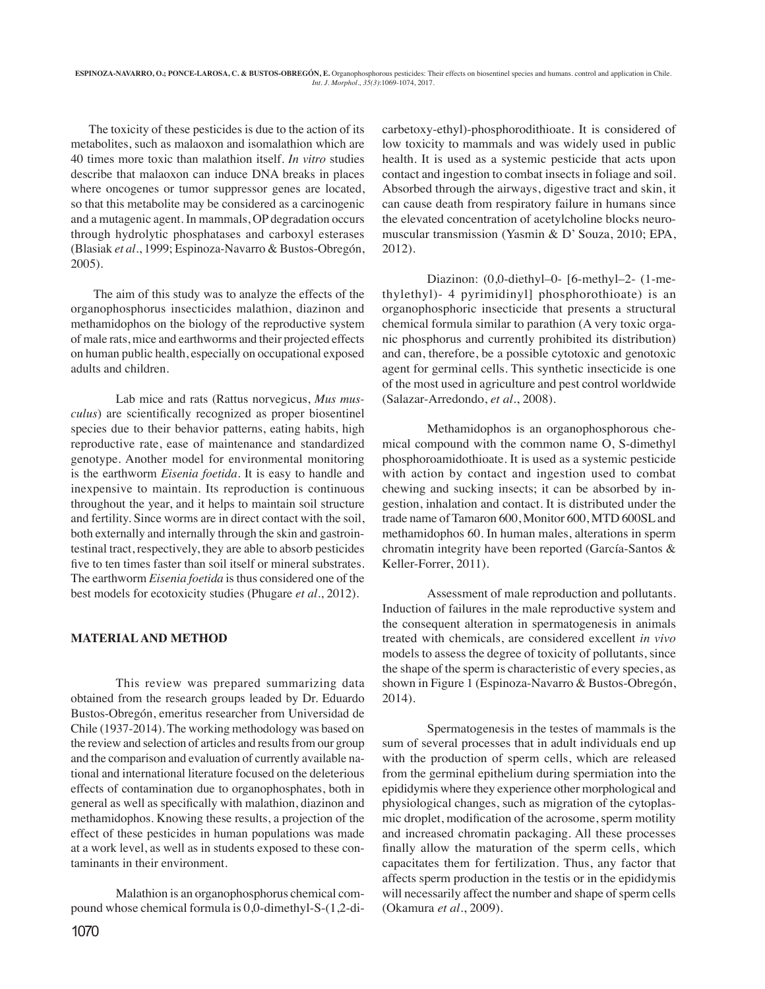The toxicity of these pesticides is due to the action of its metabolites, such as malaoxon and isomalathion which are 40 times more toxic than malathion itself. *In vitro* studies describe that malaoxon can induce DNA breaks in places where oncogenes or tumor suppressor genes are located, so that this metabolite may be considered as a carcinogenic and a mutagenic agent. In mammals, OP degradation occurs through hydrolytic phosphatases and carboxyl esterases (Blasiak *et al*., 1999; Espinoza-Navarro & Bustos-Obregón, 2005).

 The aim of this study was to analyze the effects of the organophosphorus insecticides malathion, diazinon and methamidophos on the biology of the reproductive system of male rats, mice and earthworms and their projected effects on human public health, especially on occupational exposed adults and children.

Lab mice and rats (Rattus norvegicus, *Mus musculus*) are scientifically recognized as proper biosentinel species due to their behavior patterns, eating habits, high reproductive rate, ease of maintenance and standardized genotype. Another model for environmental monitoring is the earthworm *Eisenia foetida*. It is easy to handle and inexpensive to maintain. Its reproduction is continuous throughout the year, and it helps to maintain soil structure and fertility. Since worms are in direct contact with the soil, both externally and internally through the skin and gastrointestinal tract, respectively, they are able to absorb pesticides five to ten times faster than soil itself or mineral substrates. The earthworm *Eisenia foetida* is thus considered one of the best models for ecotoxicity studies (Phugare *et al*., 2012).

## **MATERIAL AND METHOD**

This review was prepared summarizing data obtained from the research groups leaded by Dr. Eduardo Bustos-Obregón, emeritus researcher from Universidad de Chile (1937-2014). The working methodology was based on the review and selection of articles and results from our group and the comparison and evaluation of currently available national and international literature focused on the deleterious effects of contamination due to organophosphates, both in general as well as specifically with malathion, diazinon and methamidophos. Knowing these results, a projection of the effect of these pesticides in human populations was made at a work level, as well as in students exposed to these contaminants in their environment.

Malathion is an organophosphorus chemical compound whose chemical formula is 0,0-dimethyl-S-(1,2-di-

carbetoxy-ethyl)-phosphorodithioate. It is considered of low toxicity to mammals and was widely used in public health. It is used as a systemic pesticide that acts upon contact and ingestion to combat insects in foliage and soil. Absorbed through the airways, digestive tract and skin, it can cause death from respiratory failure in humans since the elevated concentration of acetylcholine blocks neuromuscular transmission (Yasmin & D' Souza, 2010; EPA, 2012).

Diazinon: (0,0-diethyl–0- [6-methyl–2- (1-methylethyl)- 4 pyrimidinyl] phosphorothioate) is an organophosphoric insecticide that presents a structural chemical formula similar to parathion (A very toxic organic phosphorus and currently prohibited its distribution) and can, therefore, be a possible cytotoxic and genotoxic agent for germinal cells. This synthetic insecticide is one of the most used in agriculture and pest control worldwide (Salazar-Arredondo, *et al*., 2008).

Methamidophos is an organophosphorous chemical compound with the common name O, S-dimethyl phosphoroamidothioate. It is used as a systemic pesticide with action by contact and ingestion used to combat chewing and sucking insects; it can be absorbed by ingestion, inhalation and contact. It is distributed under the trade name of Tamaron 600, Monitor 600, MTD 600SL and methamidophos 60. In human males, alterations in sperm chromatin integrity have been reported (García-Santos & Keller-Forrer, 2011).

Assessment of male reproduction and pollutants. Induction of failures in the male reproductive system and the consequent alteration in spermatogenesis in animals treated with chemicals, are considered excellent *in vivo*  models to assess the degree of toxicity of pollutants, since the shape of the sperm is characteristic of every species, as shown in Figure 1 (Espinoza-Navarro & Bustos-Obregón, 2014).

Spermatogenesis in the testes of mammals is the sum of several processes that in adult individuals end up with the production of sperm cells, which are released from the germinal epithelium during spermiation into the epididymis where they experience other morphological and physiological changes, such as migration of the cytoplasmic droplet, modification of the acrosome, sperm motility and increased chromatin packaging. All these processes finally allow the maturation of the sperm cells, which capacitates them for fertilization. Thus, any factor that affects sperm production in the testis or in the epididymis will necessarily affect the number and shape of sperm cells (Okamura *et al*., 2009).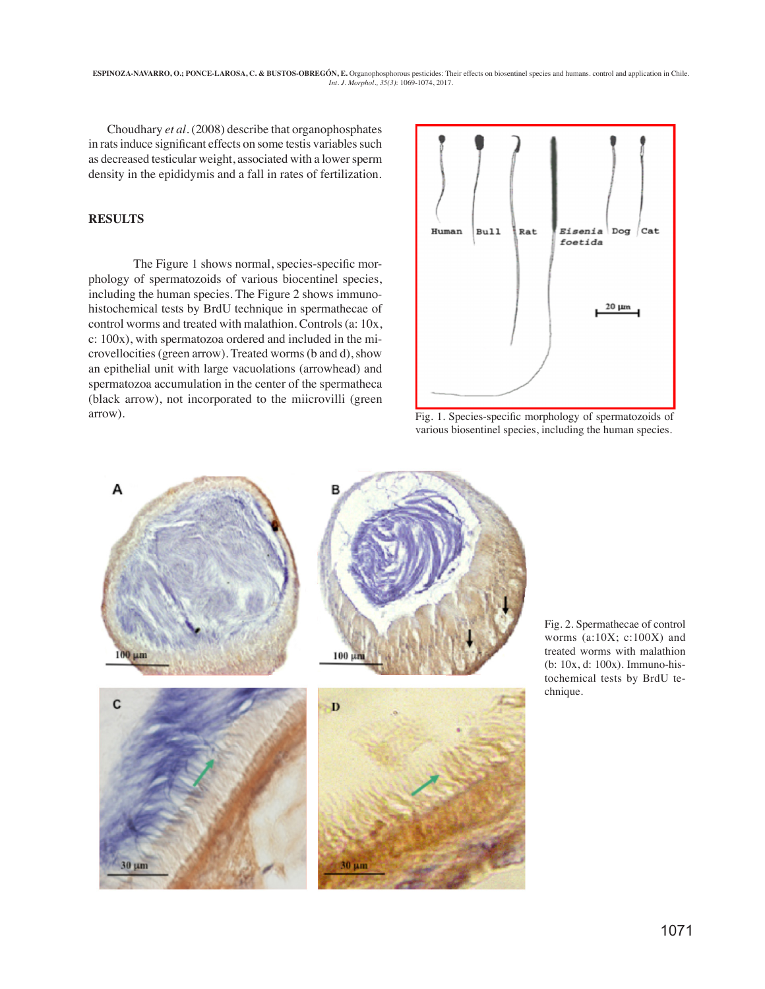**ESPINOZA-NAVARRO, O.; PONCE-LAROSA, C. & BUSTOS-OBREGON, E.** Organophosphorous pesticides: Their effects on biosentinel species and humans. control and application in Chile.<br>*Int. J. Morphol.*, 35(3): 1069-1074, 2017.

 Choudhary *et al*. (2008) describe that organophosphates in rats induce significant effects on some testis variables such as decreased testicular weight, associated with a lower sperm density in the epididymis and a fall in rates of fertilization.

## **RESULTS**

The Figure 1 shows normal, species-specific morphology of spermatozoids of various biocentinel species, including the human species. The Figure 2 shows immunohistochemical tests by BrdU technique in spermathecae of control worms and treated with malathion. Controls (a: 10x, c: 100x), with spermatozoa ordered and included in the microvellocities (green arrow). Treated worms (b and d), show an epithelial unit with large vacuolations (arrowhead) and spermatozoa accumulation in the center of the spermatheca (black arrow), not incorporated to the miicrovilli (green arrow).



Fig. 1. Species-specific morphology of spermatozoids of various biosentinel species, including the human species.



Fig. 2. Spermathecae of control worms (a:10X; c:100X) and treated worms with malathion (b: 10x, d: 100x). Immuno-histochemical tests by BrdU technique.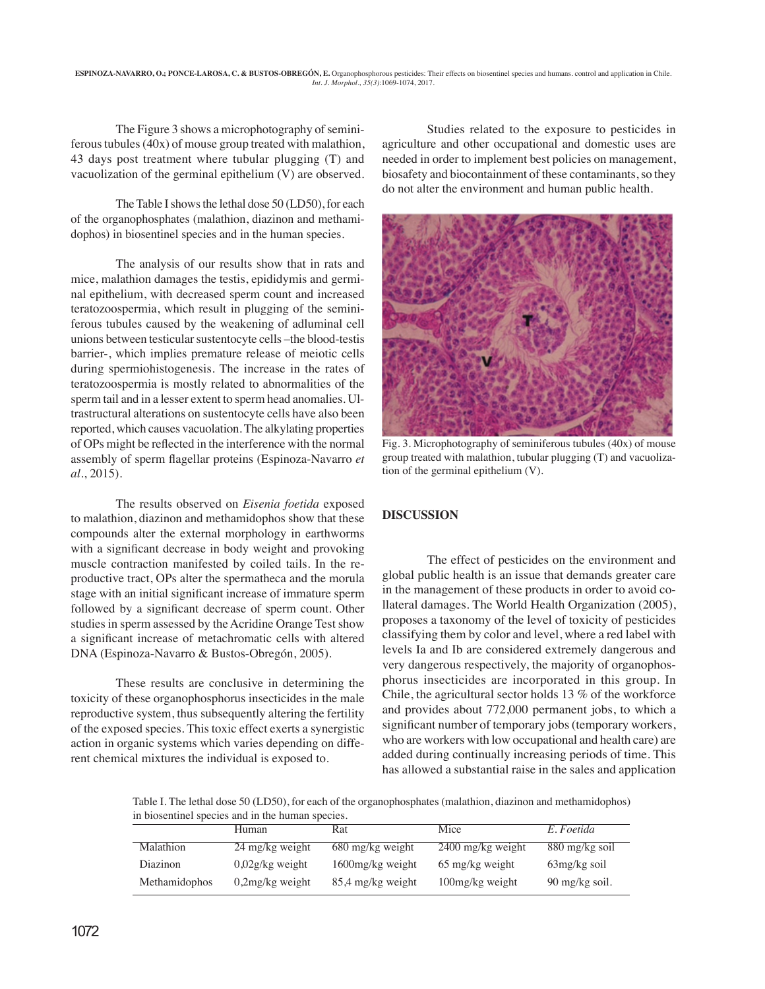**ESPINOZA-NAVARRO, O.; PONCE-LAROSA, C. & BUSTOS-OBREGON, E.** Organophosphorous pesticides: Their effects on biosentinel species and humans. control and application in Chile.<br>*Int. J. Morphol.*, 35(3):1069-1074, 2017.

The Figure 3 shows a microphotography of seminiferous tubules (40x) of mouse group treated with malathion, 43 days post treatment where tubular plugging (T) and vacuolization of the germinal epithelium (V) are observed.

The Table I shows the lethal dose 50 (LD50), for each of the organophosphates (malathion, diazinon and methamidophos) in biosentinel species and in the human species.

The analysis of our results show that in rats and mice, malathion damages the testis, epididymis and germinal epithelium, with decreased sperm count and increased teratozoospermia, which result in plugging of the seminiferous tubules caused by the weakening of adluminal cell unions between testicular sustentocyte cells –the blood-testis barrier-, which implies premature release of meiotic cells during spermiohistogenesis. The increase in the rates of teratozoospermia is mostly related to abnormalities of the sperm tail and in a lesser extent to sperm head anomalies. Ultrastructural alterations on sustentocyte cells have also been reported, which causes vacuolation. The alkylating properties of OPs might be reflected in the interference with the normal assembly of sperm flagellar proteins (Espinoza-Navarro *et al*., 2015).

The results observed on *Eisenia foetida* exposed to malathion, diazinon and methamidophos show that these compounds alter the external morphology in earthworms with a significant decrease in body weight and provoking muscle contraction manifested by coiled tails. In the reproductive tract, OPs alter the spermatheca and the morula stage with an initial significant increase of immature sperm followed by a significant decrease of sperm count. Other studies in sperm assessed by the Acridine Orange Test show a significant increase of metachromatic cells with altered DNA (Espinoza-Navarro & Bustos-Obregón, 2005).

These results are conclusive in determining the toxicity of these organophosphorus insecticides in the male reproductive system, thus subsequently altering the fertility of the exposed species. This toxic effect exerts a synergistic action in organic systems which varies depending on different chemical mixtures the individual is exposed to.

Studies related to the exposure to pesticides in agriculture and other occupational and domestic uses are needed in order to implement best policies on management, biosafety and biocontainment of these contaminants, so they do not alter the environment and human public health.



Fig. 3. Microphotography of seminiferous tubules (40x) of mouse group treated with malathion, tubular plugging (T) and vacuolization of the germinal epithelium (V).

# **DISCUSSION**

The effect of pesticides on the environment and global public health is an issue that demands greater care in the management of these products in order to avoid collateral damages. The World Health Organization (2005), proposes a taxonomy of the level of toxicity of pesticides classifying them by color and level, where a red label with levels Ia and Ib are considered extremely dangerous and very dangerous respectively, the majority of organophosphorus insecticides are incorporated in this group. In Chile, the agricultural sector holds 13 % of the workforce and provides about 772,000 permanent jobs, to which a significant number of temporary jobs (temporary workers, who are workers with low occupational and health care) are added during continually increasing periods of time. This has allowed a substantial raise in the sales and application

Table I. The lethal dose 50 (LD50), for each of the organophosphates (malathion, diazinon and methamidophos) in biosentinel species and in the human species.

|               | Human              | Rat                 | Mice                | E. Foetida               |
|---------------|--------------------|---------------------|---------------------|--------------------------|
| Malathion     | 24 mg/kg weight    | 680 mg/kg weight    | $2400$ mg/kg weight | $880 \text{ mg/kg}$ soil |
| Diazinon      | $0.02$ g/kg weight | $1600$ mg/kg weight | 65 mg/kg weight     | $63mg/kg$ soil           |
| Methamidophos | $0,2mg/kg$ weight  | 85,4 mg/kg weight   | $100mg/kg$ weight   | 90 mg/kg soil.           |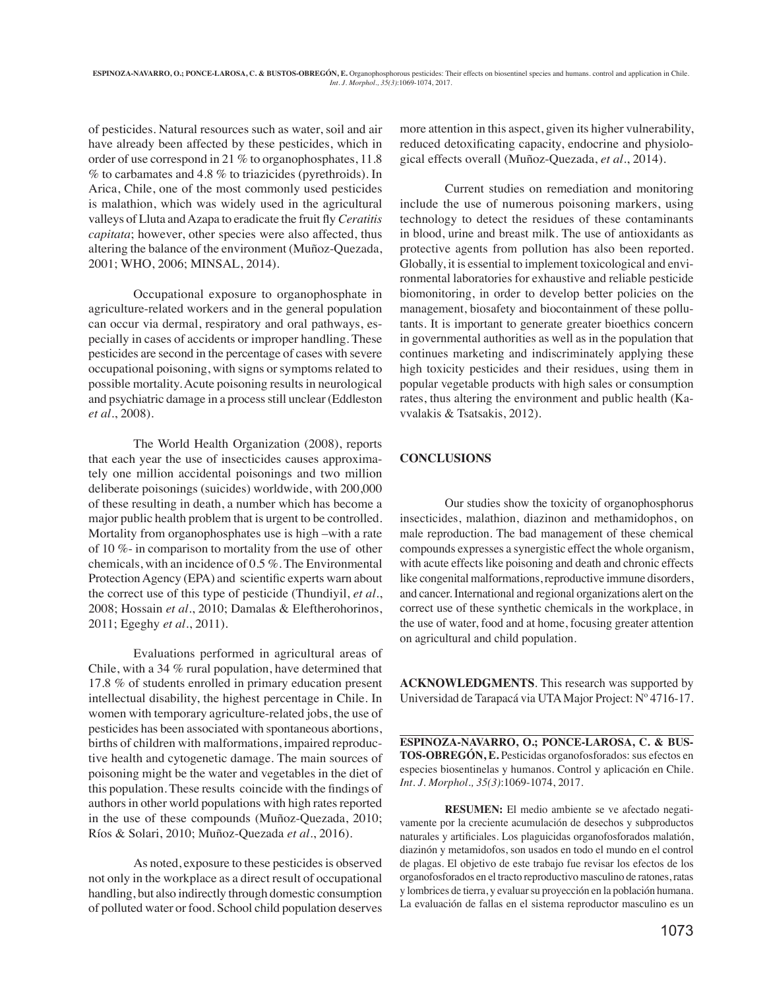of pesticides. Natural resources such as water, soil and air have already been affected by these pesticides, which in order of use correspond in 21 % to organophosphates, 11.8  $\%$  to carbamates and 4.8  $\%$  to triazicides (pyrethroids). In Arica, Chile, one of the most commonly used pesticides is malathion, which was widely used in the agricultural valleys of Lluta and Azapa to eradicate the fruit fly *Ceratitis capitata*; however, other species were also affected, thus altering the balance of the environment (Muñoz-Quezada, 2001; WHO, 2006; MINSAL, 2014).

Occupational exposure to organophosphate in agriculture-related workers and in the general population can occur via dermal, respiratory and oral pathways, especially in cases of accidents or improper handling. These pesticides are second in the percentage of cases with severe occupational poisoning, with signs or symptoms related to possible mortality. Acute poisoning results in neurological and psychiatric damage in a process still unclear (Eddleston *et al*., 2008).

The World Health Organization (2008), reports that each year the use of insecticides causes approximately one million accidental poisonings and two million deliberate poisonings (suicides) worldwide, with 200,000 of these resulting in death, a number which has become a major public health problem that is urgent to be controlled. Mortality from organophosphates use is high –with a rate of 10 %- in comparison to mortality from the use of other chemicals, with an incidence of 0.5 %. The Environmental Protection Agency (EPA) and scientific experts warn about the correct use of this type of pesticide (Thundiyil, *et al*., 2008; Hossain *et al*., 2010; Damalas & Eleftherohorinos, 2011; Egeghy *et al*., 2011).

Evaluations performed in agricultural areas of Chile, with a 34 % rural population, have determined that 17.8 % of students enrolled in primary education present intellectual disability, the highest percentage in Chile. In women with temporary agriculture-related jobs, the use of pesticides has been associated with spontaneous abortions, births of children with malformations, impaired reproductive health and cytogenetic damage. The main sources of poisoning might be the water and vegetables in the diet of this population. These results coincide with the findings of authors in other world populations with high rates reported in the use of these compounds (Muñoz-Quezada, 2010; Ríos & Solari, 2010; Muñoz-Quezada *et al*., 2016).

As noted, exposure to these pesticides is observed not only in the workplace as a direct result of occupational handling, but also indirectly through domestic consumption of polluted water or food. School child population deserves

more attention in this aspect, given its higher vulnerability, reduced detoxificating capacity, endocrine and physiological effects overall (Muñoz-Quezada, *et al*., 2014).

Current studies on remediation and monitoring include the use of numerous poisoning markers, using technology to detect the residues of these contaminants in blood, urine and breast milk. The use of antioxidants as protective agents from pollution has also been reported. Globally, it is essential to implement toxicological and environmental laboratories for exhaustive and reliable pesticide biomonitoring, in order to develop better policies on the management, biosafety and biocontainment of these pollutants. It is important to generate greater bioethics concern in governmental authorities as well as in the population that continues marketing and indiscriminately applying these high toxicity pesticides and their residues, using them in popular vegetable products with high sales or consumption rates, thus altering the environment and public health (Kavvalakis & Tsatsakis, 2012).

## **CONCLUSIONS**

Our studies show the toxicity of organophosphorus insecticides, malathion, diazinon and methamidophos, on male reproduction. The bad management of these chemical compounds expresses a synergistic effect the whole organism, with acute effects like poisoning and death and chronic effects like congenital malformations, reproductive immune disorders, and cancer. International and regional organizations alert on the correct use of these synthetic chemicals in the workplace, in the use of water, food and at home, focusing greater attention on agricultural and child population.

**ACKNOWLEDGMENTS**. This research was supported by Universidad de Tarapacá via UTA Major Project: Nº 4716-17.

**ESPINOZA-NAVARRO, O.; PONCE-LAROSA, C. & BUS-TOS-OBREGÓN, E.** Pesticidas organofosforados: sus efectos en especies biosentinelas y humanos. Control y aplicación en Chile. *Int. J. Morphol., 35(3)*:1069-1074, 2017.

**RESUMEN:** El medio ambiente se ve afectado negativamente por la creciente acumulación de desechos y subproductos naturales y artificiales. Los plaguicidas organofosforados malatión, diazinón y metamidofos, son usados en todo el mundo en el control de plagas. El objetivo de este trabajo fue revisar los efectos de los organofosforados en el tracto reproductivo masculino de ratones, ratas y lombrices de tierra, y evaluar su proyección en la población humana. La evaluación de fallas en el sistema reproductor masculino es un